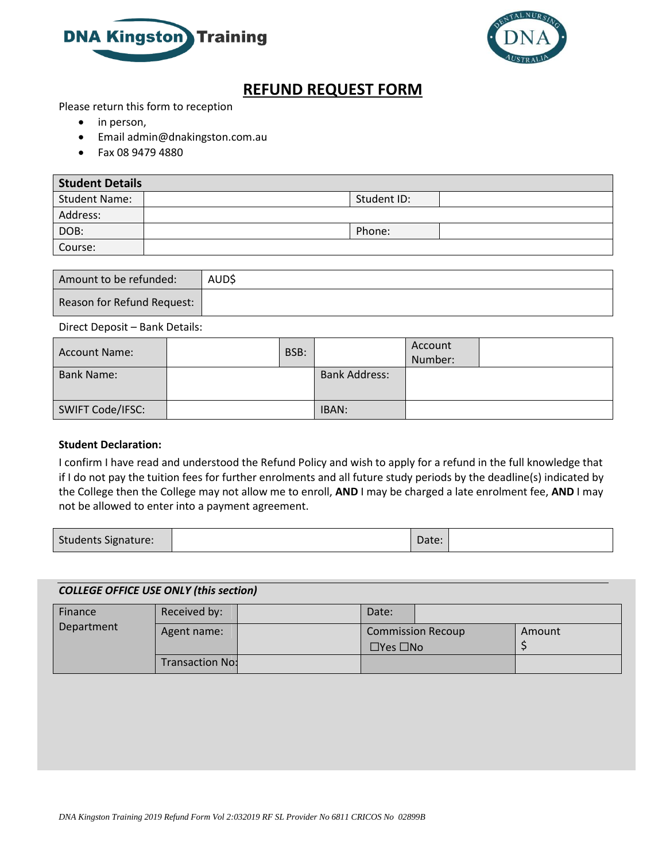



## **REFUND REQUEST FORM**

Please return this form to reception

- in person,
- Email admin@dnakingston.com.au
- Fax 08 9479 4880

| <b>Student Details</b> |             |  |  |  |  |
|------------------------|-------------|--|--|--|--|
| <b>Student Name:</b>   | Student ID: |  |  |  |  |
| Address:               |             |  |  |  |  |
| DOB:                   | Phone:      |  |  |  |  |
| Course:                |             |  |  |  |  |

| Amount to be refunded:     | AUD\$ |
|----------------------------|-------|
| Reason for Refund Request: |       |

## Direct Deposit – Bank Details:

| Account Name:     | BSB: |                      | Account<br>Number: |  |
|-------------------|------|----------------------|--------------------|--|
| <b>Bank Name:</b> |      | <b>Bank Address:</b> |                    |  |
| SWIFT Code/IFSC:  |      | IBAN:                |                    |  |

## **Student Declaration:**

I confirm I have read and understood the Refund Policy and wish to apply for a refund in the full knowledge that if I do not pay the tuition fees for further enrolments and all future study periods by the deadline(s) indicated by the College then the College may not allow me to enroll, **AND** I may be charged a late enrolment fee, **AND** I may not be allowed to enter into a payment agreement.

|--|

## *COLLEGE OFFICE USE ONLY (this section)*

| Finance<br>Department | Received by:           | Date:                                            |  |        |
|-----------------------|------------------------|--------------------------------------------------|--|--------|
|                       | Agent name:            | <b>Commission Recoup</b><br>$\Box$ Yes $\Box$ No |  | Amount |
|                       | <b>Transaction No:</b> |                                                  |  |        |